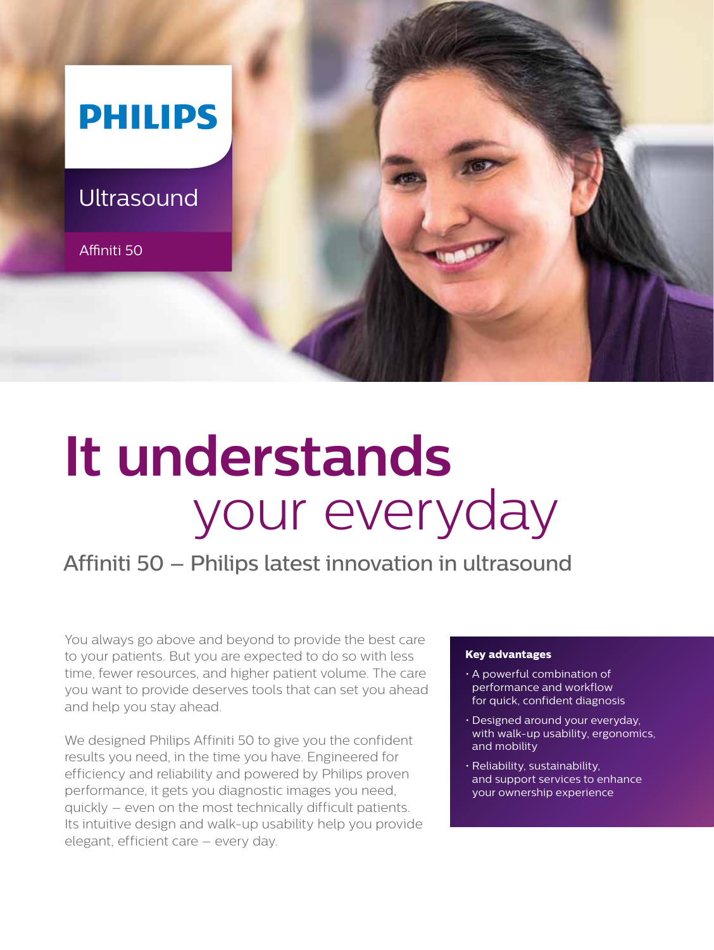

# **It understands** your everyday

## Affiniti 50 – Philips latest innovation in ultrasound

You always go above and beyond to provide the best care to your patients. But you are expected to do so with less time, fewer resources, and higher patient volume. The care you want to provide deserves tools that can set you ahead and help you stay ahead.

We designed Philips Affiniti 50 to give you the confident results you need, in the time you have. Engineered for efficiency and reliability and powered by Philips proven performance, it gets you diagnostic images you need, quickly – even on the most technically difficult patients. Its intuitive design and walk-up usability help you provide elegant, efficient care – every day.

#### **Key advantages**

- • A powerful combination of performance and workflow for quick, confident diagnosis
- Designed around your everyday, with walk-up usability, ergonomics, and mobility
- • Reliability, sustainability, and support services to enhance your ownership experience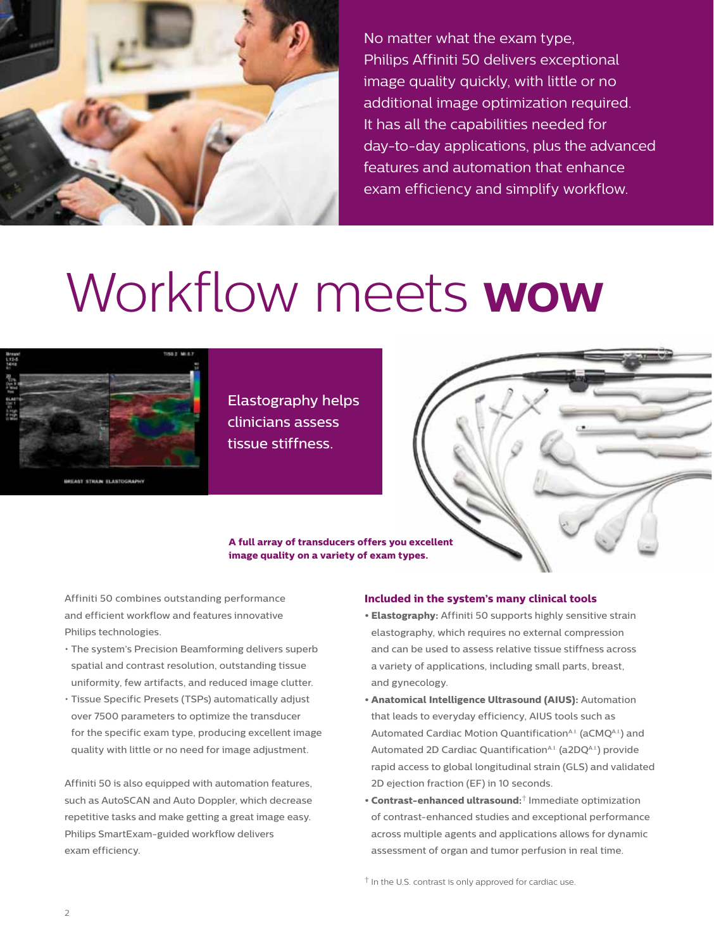

No matter what the exam type, Philips Affiniti 50 delivers exceptional image quality quickly, with little or no additional image optimization required. It has all the capabilities needed for day-to-day applications, plus the advanced features and automation that enhance exam efficiency and simplify workflow.

# Workflow meets **wow**



AST STRAN ELASTOGR

Elastography helps clinicians assess tissue stiffness.

**A full array of transducers offers you excellent image quality on a variety of exam types.**

Affiniti 50 combines outstanding performance and efficient workflow and features innovative Philips technologies.

- • The system's Precision Beamforming delivers superb spatial and contrast resolution, outstanding tissue uniformity, few artifacts, and reduced image clutter.
- • Tissue Specific Presets (TSPs) automatically adjust over 7500 parameters to optimize the transducer for the specific exam type, producing excellent image quality with little or no need for image adjustment.

Affiniti 50 is also equipped with automation features, such as AutoSCAN and Auto Doppler, which decrease repetitive tasks and make getting a great image easy. Philips SmartExam-guided workflow delivers exam efficiency.

#### **Included in the system's many clinical tools**

- **Elastography:** Affiniti 50 supports highly sensitive strain elastography, which requires no external compression and can be used to assess relative tissue stiffness across a variety of applications, including small parts, breast, and gynecology.
- **• Anatomical Intelligence Ultrasound (AIUS):** Automation that leads to everyday efficiency, AIUS tools such as Automated Cardiac Motion Quantification<sup>A.I.</sup> (aCMQA.I.) and Automated 2D Cardiac Quantification<sup>A.I.</sup> (a2DQA.I.) provide rapid access to global longitudinal strain (GLS) and validated 2D ejection fraction (EF) in 10 seconds.
- **• Contrast-enhanced ultrasound:**† Immediate optimization of contrast-enhanced studies and exceptional performance across multiple agents and applications allows for dynamic assessment of organ and tumor perfusion in real time.

† In the U.S. contrast is only approved for cardiac use.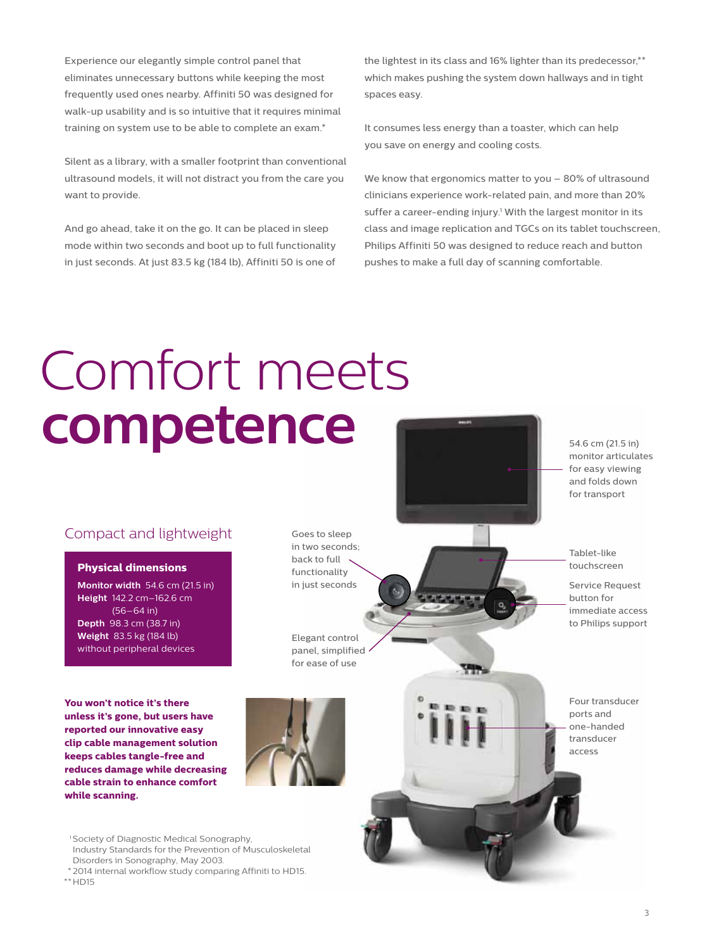Experience our elegantly simple control panel that eliminates unnecessary buttons while keeping the most frequently used ones nearby. Affiniti 50 was designed for walk-up usability and is so intuitive that it requires minimal training on system use to be able to complete an exam.\*

Silent as a library, with a smaller footprint than conventional ultrasound models, it will not distract you from the care you want to provide.

And go ahead, take it on the go. It can be placed in sleep mode within two seconds and boot up to full functionality in just seconds. At just 83.5 kg (184 lb), Affiniti 50 is one of the lightest in its class and 16% lighter than its predecessor,\*\* which makes pushing the system down hallways and in tight spaces easy.

It consumes less energy than a toaster, which can help you save on energy and cooling costs.

We know that ergonomics matter to you – 80% of ultrasound clinicians experience work-related pain, and more than 20% suffer a career-ending injury.<sup>1</sup> With the largest monitor in its class and image replication and TGCs on its tablet touchscreen, Philips Affiniti 50 was designed to reduce reach and button pushes to make a full day of scanning comfortable.

# Comfort meets **competence**

### Compact and lightweight

#### **Physical dimensions**

**Monitor width** 54.6 cm (21.5 in) **Height** 142.2 cm–162.6 cm  $(56 - 64)$  in) **Depth** 98.3 cm (38.7 in) **Weight** 83.5 kg (184 lb) without peripheral devices

**You won't notice it's there unless it's gone, but users have reported our innovative easy clip cable management solution keeps cables tangle-free and reduces damage while decreasing cable strain to enhance comfort while scanning.**

Goes to sleep in two seconds; back to full functionality in just seconds

Elegant control panel, simplified for ease of use



<sup>1</sup> Society of Diagnostic Medical Sonography, Industry Standards for the Prevention of Musculoskeletal Disorders in Sonography, May 2003.

 \* 2014 internal workflow study comparing Affiniti to HD15.  $**$ HD15

54.6 cm (21.5 in) monitor articulates for easy viewing and folds down for transport

Tablet-like touchscreen

Service Request button for immediate access to Philips support

Four transducer ports and one-handed transducer access